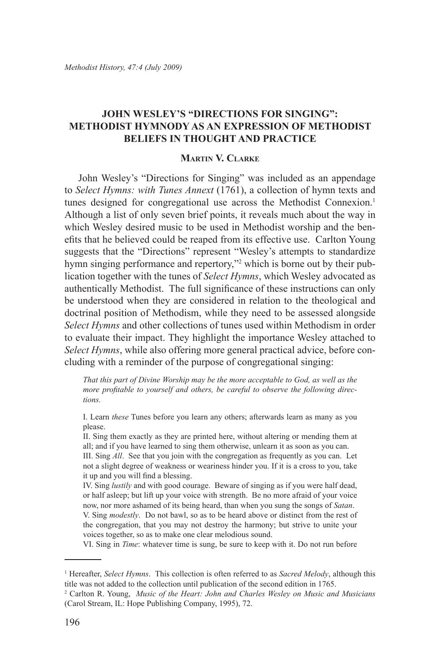# **John Wesley's "Directions for Singing": Methodist Hymnody as an Expression of Methodist Beliefs in Thought and Practice**

## **Martin V. Clarke**

John Wesley's "Directions for Singing" was included as an appendage to *Select Hymns: with Tunes Annext* (1761), a collection of hymn texts and tunes designed for congregational use across the Methodist Connexion.<sup>1</sup> Although a list of only seven brief points, it reveals much about the way in which Wesley desired music to be used in Methodist worship and the benefits that he believed could be reaped from its effective use. Carlton Young suggests that the "Directions" represent "Wesley's attempts to standardize hymn singing performance and repertory,"<sup>2</sup> which is borne out by their publication together with the tunes of *Select Hymns*, which Wesley advocated as authentically Methodist. The full significance of these instructions can only be understood when they are considered in relation to the theological and doctrinal position of Methodism, while they need to be assessed alongside *Select Hymns* and other collections of tunes used within Methodism in order to evaluate their impact. They highlight the importance Wesley attached to *Select Hymns*, while also offering more general practical advice, before concluding with a reminder of the purpose of congregational singing:

*That this part of Divine Worship may be the more acceptable to God, as well as the more profitable to yourself and others, be careful to observe the following directions.*

I. Learn *these* Tunes before you learn any others; afterwards learn as many as you please.

II. Sing them exactly as they are printed here, without altering or mending them at all; and if you have learned to sing them otherwise, unlearn it as soon as you can.

III. Sing *All*. See that you join with the congregation as frequently as you can. Let not a slight degree of weakness or weariness hinder you. If it is a cross to you, take it up and you will find a blessing.

IV. Sing *lustily* and with good courage. Beware of singing as if you were half dead, or half asleep; but lift up your voice with strength. Be no more afraid of your voice now, nor more ashamed of its being heard, than when you sung the songs of *Satan*. V. Sing *modestly*. Do not bawl, so as to be heard above or distinct from the rest of the congregation, that you may not destroy the harmony; but strive to unite your

voices together, so as to make one clear melodious sound.

VI. Sing in *Time*: whatever time is sung, be sure to keep with it. Do not run before

<sup>1</sup> Hereafter, *Select Hymns*. This collection is often referred to as *Sacred Melody*, although this title was not added to the collection until publication of the second edition in 1765.

<sup>2</sup> Carlton R. Young, *Music of the Heart: John and Charles Wesley on Music and Musicians* (Carol Stream, IL: Hope Publishing Company, 1995), 72.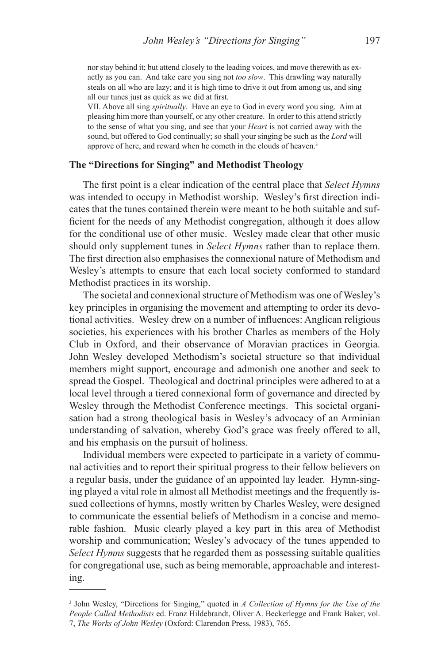nor stay behind it; but attend closely to the leading voices, and move therewith as exactly as you can. And take care you sing not *too slow*. This drawling way naturally steals on all who are lazy; and it is high time to drive it out from among us, and sing all our tunes just as quick as we did at first.

VII. Above all sing *spiritually*. Have an eye to God in every word you sing. Aim at pleasing him more than yourself, or any other creature. In order to this attend strictly to the sense of what you sing, and see that your *Heart* is not carried away with the sound, but offered to God continually; so shall your singing be such as the *Lord* will approve of here, and reward when he cometh in the clouds of heaven.<sup>3</sup>

### **The "Directions for Singing" and Methodist Theology**

The first point is a clear indication of the central place that *Select Hymns* was intended to occupy in Methodist worship. Wesley's first direction indicates that the tunes contained therein were meant to be both suitable and sufficient for the needs of any Methodist congregation, although it does allow for the conditional use of other music. Wesley made clear that other music should only supplement tunes in *Select Hymns* rather than to replace them. The first direction also emphasises the connexional nature of Methodism and Wesley's attempts to ensure that each local society conformed to standard Methodist practices in its worship.

The societal and connexional structure of Methodism was one of Wesley's key principles in organising the movement and attempting to order its devotional activities. Wesley drew on a number of influences: Anglican religious societies, his experiences with his brother Charles as members of the Holy Club in Oxford, and their observance of Moravian practices in Georgia. John Wesley developed Methodism's societal structure so that individual members might support, encourage and admonish one another and seek to spread the Gospel. Theological and doctrinal principles were adhered to at a local level through a tiered connexional form of governance and directed by Wesley through the Methodist Conference meetings. This societal organisation had a strong theological basis in Wesley's advocacy of an Arminian understanding of salvation, whereby God's grace was freely offered to all, and his emphasis on the pursuit of holiness.

Individual members were expected to participate in a variety of communal activities and to report their spiritual progress to their fellow believers on a regular basis, under the guidance of an appointed lay leader. Hymn-singing played a vital role in almost all Methodist meetings and the frequently issued collections of hymns, mostly written by Charles Wesley, were designed to communicate the essential beliefs of Methodism in a concise and memorable fashion. Music clearly played a key part in this area of Methodist worship and communication; Wesley's advocacy of the tunes appended to *Select Hymns* suggests that he regarded them as possessing suitable qualities for congregational use, such as being memorable, approachable and interesting.

<sup>3</sup> John Wesley, "Directions for Singing," quoted in *A Collection of Hymns for the Use of the People Called Methodists* ed. Franz Hildebrandt, Oliver A. Beckerlegge and Frank Baker, vol. 7, *The Works of John Wesley* (Oxford: Clarendon Press, 1983), 765.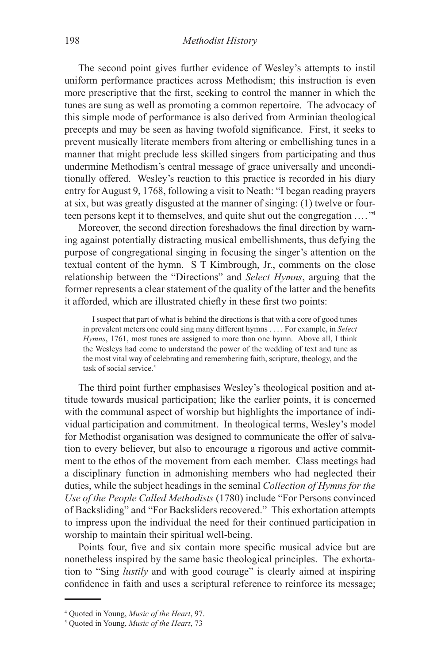The second point gives further evidence of Wesley's attempts to instil uniform performance practices across Methodism; this instruction is even more prescriptive that the first, seeking to control the manner in which the tunes are sung as well as promoting a common repertoire. The advocacy of this simple mode of performance is also derived from Arminian theological precepts and may be seen as having twofold significance. First, it seeks to prevent musically literate members from altering or embellishing tunes in a manner that might preclude less skilled singers from participating and thus undermine Methodism's central message of grace universally and unconditionally offered. Wesley's reaction to this practice is recorded in his diary entry for August 9, 1768, following a visit to Neath: "I began reading prayers at six, but was greatly disgusted at the manner of singing: (1) twelve or fourteen persons kept it to themselves, and quite shut out the congregation . . . . "4

Moreover, the second direction foreshadows the final direction by warning against potentially distracting musical embellishments, thus defying the purpose of congregational singing in focusing the singer's attention on the textual content of the hymn. S T Kimbrough, Jr., comments on the close relationship between the "Directions" and *Select Hymns*, arguing that the former represents a clear statement of the quality of the latter and the benefits it afforded, which are illustrated chiefly in these first two points:

I suspect that part of what is behind the directions is that with a core of good tunes in prevalent meters one could sing many different hymns . . . . For example, in *Select Hymns*, 1761, most tunes are assigned to more than one hymn. Above all, I think the Wesleys had come to understand the power of the wedding of text and tune as the most vital way of celebrating and remembering faith, scripture, theology, and the task of social service.<sup>5</sup>

The third point further emphasises Wesley's theological position and attitude towards musical participation; like the earlier points, it is concerned with the communal aspect of worship but highlights the importance of individual participation and commitment. In theological terms, Wesley's model for Methodist organisation was designed to communicate the offer of salvation to every believer, but also to encourage a rigorous and active commitment to the ethos of the movement from each member. Class meetings had a disciplinary function in admonishing members who had neglected their duties, while the subject headings in the seminal *Collection of Hymns for the Use of the People Called Methodists* (1780) include "For Persons convinced of Backsliding" and "For Backsliders recovered." This exhortation attempts to impress upon the individual the need for their continued participation in worship to maintain their spiritual well-being.

Points four, five and six contain more specific musical advice but are nonetheless inspired by the same basic theological principles. The exhortation to "Sing *lustily* and with good courage" is clearly aimed at inspiring confidence in faith and uses a scriptural reference to reinforce its message;

<sup>4</sup> Quoted in Young, *Music of the Heart*, 97.

<sup>5</sup> Quoted in Young, *Music of the Heart*, 73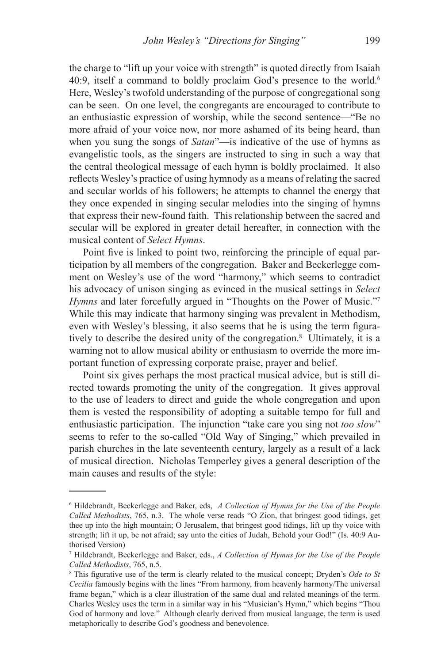the charge to "lift up your voice with strength" is quoted directly from Isaiah 40:9, itself a command to boldly proclaim God's presence to the world.<sup>6</sup> Here, Wesley's twofold understanding of the purpose of congregational song can be seen. On one level, the congregants are encouraged to contribute to an enthusiastic expression of worship, while the second sentence—"Be no more afraid of your voice now, nor more ashamed of its being heard, than when you sung the songs of *Satan*"—is indicative of the use of hymns as evangelistic tools, as the singers are instructed to sing in such a way that the central theological message of each hymn is boldly proclaimed. It also reflects Wesley's practice of using hymnody as a means of relating the sacred and secular worlds of his followers; he attempts to channel the energy that they once expended in singing secular melodies into the singing of hymns that express their new-found faith. This relationship between the sacred and secular will be explored in greater detail hereafter, in connection with the musical content of *Select Hymns*.

Point five is linked to point two, reinforcing the principle of equal participation by all members of the congregation. Baker and Beckerlegge comment on Wesley's use of the word "harmony," which seems to contradict his advocacy of unison singing as evinced in the musical settings in *Select Hymns* and later forcefully argued in "Thoughts on the Power of Music."<sup>7</sup> While this may indicate that harmony singing was prevalent in Methodism, even with Wesley's blessing, it also seems that he is using the term figuratively to describe the desired unity of the congregation.8 Ultimately, it is a warning not to allow musical ability or enthusiasm to override the more important function of expressing corporate praise, prayer and belief.

Point six gives perhaps the most practical musical advice, but is still directed towards promoting the unity of the congregation. It gives approval to the use of leaders to direct and guide the whole congregation and upon them is vested the responsibility of adopting a suitable tempo for full and enthusiastic participation. The injunction "take care you sing not *too slow*" seems to refer to the so-called "Old Way of Singing," which prevailed in parish churches in the late seventeenth century, largely as a result of a lack of musical direction. Nicholas Temperley gives a general description of the main causes and results of the style:

<sup>6</sup> Hildebrandt, Beckerlegge and Baker, eds, *A Collection of Hymns for the Use of the People Called Methodists*, 765, n.3. The whole verse reads "O Zion, that bringest good tidings, get thee up into the high mountain; O Jerusalem, that bringest good tidings, lift up thy voice with strength; lift it up, be not afraid; say unto the cities of Judah, Behold your God!" (Is. 40:9 Authorised Version)

<sup>7</sup> Hildebrandt, Beckerlegge and Baker, eds., *A Collection of Hymns for the Use of the People Called Methodists*, 765, n.5.

<sup>8</sup> This figurative use of the term is clearly related to the musical concept; Dryden's *Ode to St Cecilia* famously begins with the lines "From harmony, from heavenly harmony/The universal frame began," which is a clear illustration of the same dual and related meanings of the term. Charles Wesley uses the term in a similar way in his "Musician's Hymn," which begins "Thou God of harmony and love." Although clearly derived from musical language, the term is used metaphorically to describe God's goodness and benevolence.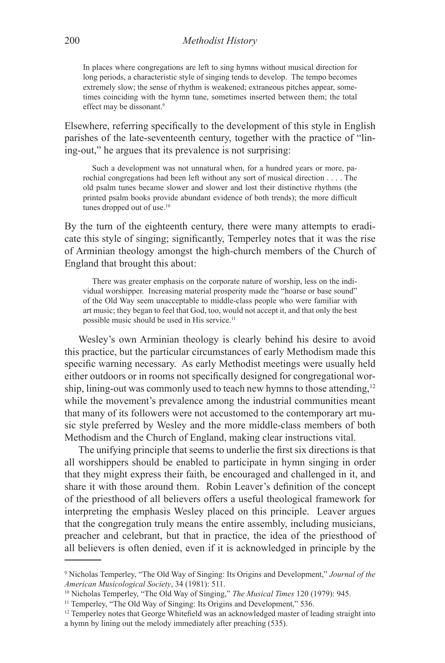In places where congregations are left to sing hymns without musical direction for long periods, a characteristic style of singing tends to develop. The tempo becomes extremely slow; the sense of rhythm is weakened; extraneous pitches appear, sometimes coinciding with the hymn tune, sometimes inserted between them; the total effect may be dissonant.<sup>9</sup>

Elsewhere, referring specifically to the development of this style in English parishes of the late-seventeenth century, together with the practice of "lining-out," he argues that its prevalence is not surprising:

Such a development was not unnatural when, for a hundred years or more, parochial congregations had been left without any sort of musical direction . . . . The old psalm tunes became slower and slower and lost their distinctive rhythms (the printed psalm books provide abundant evidence of both trends); the more difficult tunes dropped out of use.<sup>10</sup>

By the turn of the eighteenth century, there were many attempts to eradicate this style of singing; significantly, Temperley notes that it was the rise of Arminian theology amongst the high-church members of the Church of England that brought this about:

There was greater emphasis on the corporate nature of worship, less on the individual worshipper. Increasing material prosperity made the "hoarse or base sound" of the Old Way seem unacceptable to middle-class people who were familiar with art music; they began to feel that God, too, would not accept it, and that only the best possible music should be used in His service.<sup>11</sup>

Wesley's own Arminian theology is clearly behind his desire to avoid this practice, but the particular circumstances of early Methodism made this specific warning necessary. As early Methodist meetings were usually held either outdoors or in rooms not specifically designed for congregational worship, lining-out was commonly used to teach new hymns to those attending,<sup>12</sup> while the movement's prevalence among the industrial communities meant that many of its followers were not accustomed to the contemporary art music style preferred by Wesley and the more middle-class members of both Methodism and the Church of England, making clear instructions vital.

The unifying principle that seems to underlie the first six directions is that all worshippers should be enabled to participate in hymn singing in order that they might express their faith, be encouraged and challenged in it, and share it with those around them. Robin Leaver's definition of the concept of the priesthood of all believers offers a useful theological framework for interpreting the emphasis Wesley placed on this principle. Leaver argues that the congregation truly means the entire assembly, including musicians, preacher and celebrant, but that in practice, the idea of the priesthood of all believers is often denied, even if it is acknowledged in principle by the

<sup>9</sup> Nicholas Temperley, "The Old Way of Singing: Its Origins and Development," *Journal of the American Musicological Society*, 34 (1981): 511.<br><sup>10</sup> Nicholas Temperley, "The Old Way of Singing," *The Musical Times* 120 (1979): 945.<br><sup>11</sup> Temperley, "The Old Way of Singing: Its Origins and Development," 536.

<sup>&</sup>lt;sup>12</sup> Temperley notes that George Whitefield was an acknowledged master of leading straight into a hymn by lining out the melody immediately after preaching (535).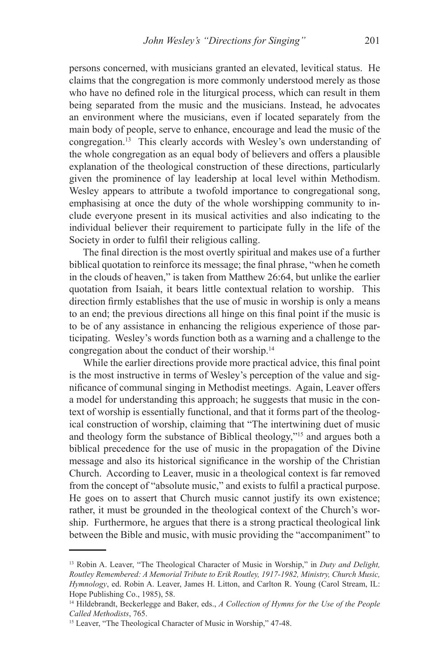persons concerned, with musicians granted an elevated, levitical status. He claims that the congregation is more commonly understood merely as those who have no defined role in the liturgical process, which can result in them being separated from the music and the musicians. Instead, he advocates an environment where the musicians, even if located separately from the main body of people, serve to enhance, encourage and lead the music of the congregation.13 This clearly accords with Wesley's own understanding of the whole congregation as an equal body of believers and offers a plausible explanation of the theological construction of these directions, particularly given the prominence of lay leadership at local level within Methodism. Wesley appears to attribute a twofold importance to congregational song, emphasising at once the duty of the whole worshipping community to include everyone present in its musical activities and also indicating to the individual believer their requirement to participate fully in the life of the Society in order to fulfil their religious calling.

The final direction is the most overtly spiritual and makes use of a further biblical quotation to reinforce its message; the final phrase, "when he cometh in the clouds of heaven," is taken from Matthew 26:64, but unlike the earlier quotation from Isaiah, it bears little contextual relation to worship. This direction firmly establishes that the use of music in worship is only a means to an end; the previous directions all hinge on this final point if the music is to be of any assistance in enhancing the religious experience of those participating. Wesley's words function both as a warning and a challenge to the congregation about the conduct of their worship.14

While the earlier directions provide more practical advice, this final point is the most instructive in terms of Wesley's perception of the value and significance of communal singing in Methodist meetings. Again, Leaver offers a model for understanding this approach; he suggests that music in the context of worship is essentially functional, and that it forms part of the theological construction of worship, claiming that "The intertwining duet of music and theology form the substance of Biblical theology,"15 and argues both a biblical precedence for the use of music in the propagation of the Divine message and also its historical significance in the worship of the Christian Church. According to Leaver, music in a theological context is far removed from the concept of "absolute music," and exists to fulfil a practical purpose. He goes on to assert that Church music cannot justify its own existence; rather, it must be grounded in the theological context of the Church's worship. Furthermore, he argues that there is a strong practical theological link between the Bible and music, with music providing the "accompaniment" to

<sup>13</sup> Robin A. Leaver, "The Theological Character of Music in Worship," in *Duty and Delight, Routley Remembered: A Memorial Tribute to Erik Routley, 1917-1982, Ministry, Church Music, Hymnology*, ed. Robin A. Leaver, James H. Litton, and Carlton R. Young (Carol Stream, IL: Hope Publishing Co., 1985), 58.

<sup>14</sup> Hildebrandt, Beckerlegge and Baker, eds., *A Collection of Hymns for the Use of the People Called Methodists*, 765.

<sup>&</sup>lt;sup>15</sup> Leaver, "The Theological Character of Music in Worship," 47-48.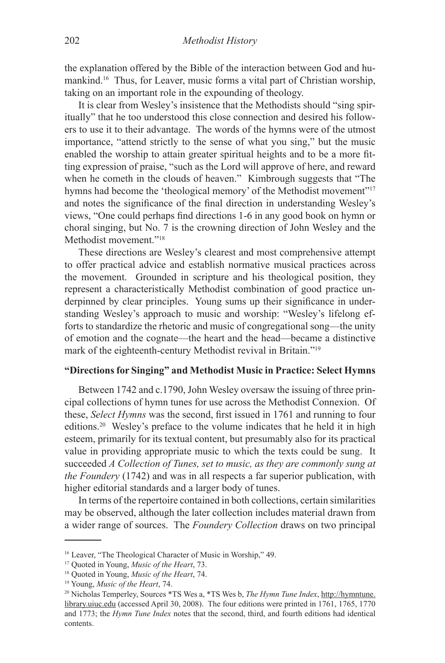the explanation offered by the Bible of the interaction between God and humankind.16 Thus, for Leaver, music forms a vital part of Christian worship, taking on an important role in the expounding of theology.

It is clear from Wesley's insistence that the Methodists should "sing spiritually" that he too understood this close connection and desired his followers to use it to their advantage. The words of the hymns were of the utmost importance, "attend strictly to the sense of what you sing," but the music enabled the worship to attain greater spiritual heights and to be a more fitting expression of praise, "such as the Lord will approve of here, and reward when he cometh in the clouds of heaven." Kimbrough suggests that "The hymns had become the 'theological memory' of the Methodist movement"<sup>17</sup> and notes the significance of the final direction in understanding Wesley's views, "One could perhaps find directions 1-6 in any good book on hymn or choral singing, but No. 7 is the crowning direction of John Wesley and the Methodist movement."18

These directions are Wesley's clearest and most comprehensive attempt to offer practical advice and establish normative musical practices across the movement. Grounded in scripture and his theological position, they represent a characteristically Methodist combination of good practice underpinned by clear principles. Young sums up their significance in understanding Wesley's approach to music and worship: "Wesley's lifelong efforts to standardize the rhetoric and music of congregational song—the unity of emotion and the cognate—the heart and the head—became a distinctive mark of the eighteenth-century Methodist revival in Britain."19

#### **"Directions for Singing" and Methodist Music in Practice: Select Hymns**

Between 1742 and c.1790, John Wesley oversaw the issuing of three principal collections of hymn tunes for use across the Methodist Connexion. Of these, *Select Hymns* was the second, first issued in 1761 and running to four editions.20 Wesley's preface to the volume indicates that he held it in high esteem, primarily for its textual content, but presumably also for its practical value in providing appropriate music to which the texts could be sung. It succeeded *A Collection of Tunes, set to music, as they are commonly sung at the Foundery* (1742) and was in all respects a far superior publication, with higher editorial standards and a larger body of tunes.

In terms of the repertoire contained in both collections, certain similarities may be observed, although the later collection includes material drawn from a wider range of sources. The *Foundery Collection* draws on two principal

<sup>16</sup> Leaver, "The Theological Character of Music in Worship," 49.

<sup>17</sup> Quoted in Young, *Music of the Heart*, 73. 18 Quoted in Young, *Music of the Heart*, 74.

<sup>19</sup> Young, *Music of the Heart*, 74.

<sup>20</sup> Nicholas Temperley, Sources \*TS Wes a, \*TS Wes b, *The Hymn Tune Index*, http://hymntune. library.uiuc.edu (accessed April 30, 2008). The four editions were printed in 1761, 1765, 1770 and 1773; the *Hymn Tune Index* notes that the second, third, and fourth editions had identical contents.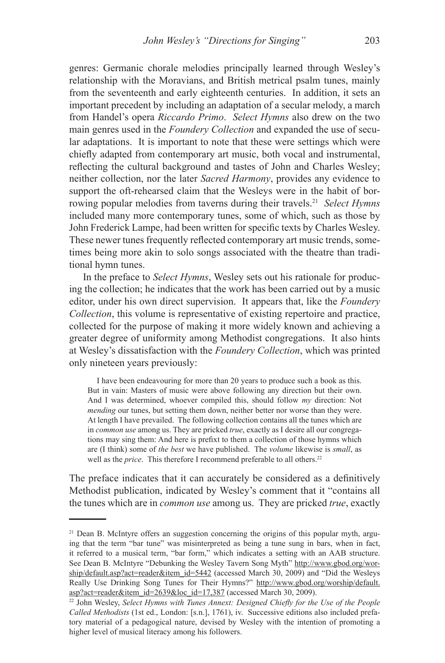genres: Germanic chorale melodies principally learned through Wesley's relationship with the Moravians, and British metrical psalm tunes, mainly from the seventeenth and early eighteenth centuries. In addition, it sets an important precedent by including an adaptation of a secular melody, a march from Handel's opera *Riccardo Primo*. *Select Hymns* also drew on the two main genres used in the *Foundery Collection* and expanded the use of secular adaptations. It is important to note that these were settings which were chiefly adapted from contemporary art music, both vocal and instrumental, reflecting the cultural background and tastes of John and Charles Wesley; neither collection, nor the later *Sacred Harmony*, provides any evidence to support the oft-rehearsed claim that the Wesleys were in the habit of borrowing popular melodies from taverns during their travels.21 *Select Hymns*  included many more contemporary tunes, some of which, such as those by John Frederick Lampe, had been written for specific texts by Charles Wesley. These newer tunes frequently reflected contemporary art music trends, sometimes being more akin to solo songs associated with the theatre than traditional hymn tunes.

In the preface to *Select Hymns*, Wesley sets out his rationale for producing the collection; he indicates that the work has been carried out by a music editor, under his own direct supervision. It appears that, like the *Foundery Collection*, this volume is representative of existing repertoire and practice, collected for the purpose of making it more widely known and achieving a greater degree of uniformity among Methodist congregations. It also hints at Wesley's dissatisfaction with the *Foundery Collection*, which was printed only nineteen years previously:

I have been endeavouring for more than 20 years to produce such a book as this. But in vain: Masters of music were above following any direction but their own. And I was determined, whoever compiled this, should follow *my* direction: Not *mending* our tunes, but setting them down, neither better nor worse than they were. At length I have prevailed. The following collection contains all the tunes which are in *common use* among us. They are pricked *true*, exactly as I desire all our congregations may sing them: And here is prefixt to them a collection of those hymns which are (I think) some of *the best* we have published. The *volume* likewise is *small*, as well as the *price*. This therefore I recommend preferable to all others.<sup>22</sup>

The preface indicates that it can accurately be considered as a definitively Methodist publication, indicated by Wesley's comment that it "contains all the tunes which are in *common use* among us. They are pricked *true*, exactly

<sup>&</sup>lt;sup>21</sup> Dean B. McIntyre offers an suggestion concerning the origins of this popular myth, arguing that the term "bar tune" was misinterpreted as being a tune sung in bars, when in fact, it referred to a musical term, "bar form," which indicates a setting with an AAB structure. See Dean B. McIntyre "Debunking the Wesley Tavern Song Myth" http://www.gbod.org/worship/default.asp?act=reader&item\_id=5442 (accessed March 30, 2009) and "Did the Wesleys Really Use Drinking Song Tunes for Their Hymns?" http://www.gbod.org/worship/default. asp?act=reader&item\_id=2639&loc\_id=17,387 (accessed March 30, 2009).

<sup>&</sup>lt;sup>22</sup> John Wesley, *Select Hymns with Tunes Annext: Designed Chiefly for the Use of the People Called Methodists* (1st ed., London: [s.n.], 1761), iv. Successive editions also included prefatory material of a pedagogical nature, devised by Wesley with the intention of promoting a higher level of musical literacy among his followers.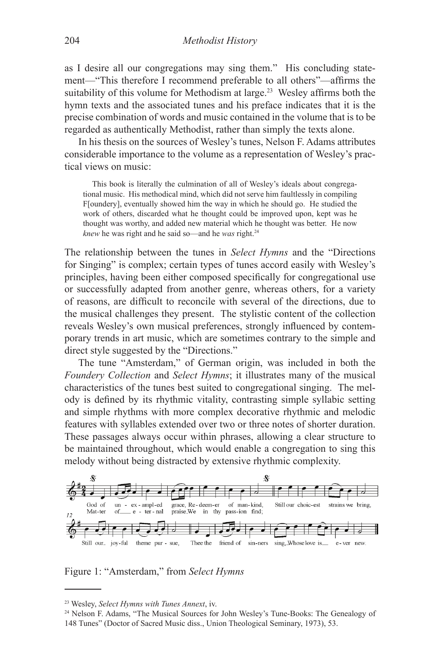as I desire all our congregations may sing them." His concluding statement—"This therefore I recommend preferable to all others"—affirms the suitability of this volume for Methodism at large.<sup>23</sup> Wesley affirms both the hymn texts and the associated tunes and his preface indicates that it is the precise combination of words and music contained in the volume that is to be regarded as authentically Methodist, rather than simply the texts alone.

In his thesis on the sources of Wesley's tunes, Nelson F. Adams attributes considerable importance to the volume as a representation of Wesley's practical views on music:

This book is literally the culmination of all of Wesley's ideals about congregational music. His methodical mind, which did not serve him faultlessly in compiling F[oundery], eventually showed him the way in which he should go. He studied the work of others, discarded what he thought could be improved upon, kept was he thought was worthy, and added new material which he thought was better. He now *knew* he was right and he said so—and he *was* right.24

The relationship between the tunes in *Select Hymns* and the "Directions for Singing" is complex; certain types of tunes accord easily with Wesley's principles, having been either composed specifically for congregational use or successfully adapted from another genre, whereas others, for a variety of reasons, are difficult to reconcile with several of the directions, due to the musical challenges they present. The stylistic content of the collection reveals Wesley's own musical preferences, strongly influenced by contemporary trends in art music, which are sometimes contrary to the simple and direct style suggested by the "Directions."

The tune "Amsterdam," of German origin, was included in both the *Foundery Collection* and *Select Hymns*; it illustrates many of the musical characteristics of the tunes best suited to congregational singing. The melody is defined by its rhythmic vitality, contrasting simple syllabic setting and simple rhythms with more complex decorative rhythmic and melodic features with syllables extended over two or three notes of shorter duration. These passages always occur within phrases, allowing a clear structure to be maintained throughout, which would enable a congregation to sing this melody without being distracted by extensive rhythmic complexity.



Figure 1: "Amsterdam," from *Select Hymns*

<sup>23</sup> Wesley, *Select Hymns with Tunes Annext*, iv.

<sup>24</sup> Nelson F. Adams, "The Musical Sources for John Wesley's Tune-Books: The Genealogy of 148 Tunes" (Doctor of Sacred Music diss., Union Theological Seminary, 1973), 53.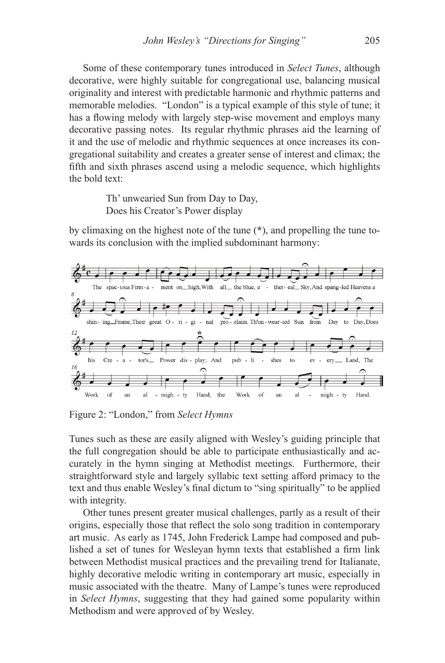Some of these contemporary tunes introduced in *Select Tunes*, although decorative, were highly suitable for congregational use, balancing musical originality and interest with predictable harmonic and rhythmic patterns and memorable melodies. "London" is a typical example of this style of tune; it has a flowing melody with largely step-wise movement and employs many decorative passing notes. Its regular rhythmic phrases aid the learning of it and the use of melodic and rhythmic sequences at once increases its congregational suitability and creates a greater sense of interest and climax; the fifth and sixth phrases ascend using a melodic sequence, which highlights the bold text:

> Th' unwearied Sun from Day to Day, Does his Creator's Power display

by climaxing on the highest note of the tune (**\***), and propelling the tune towards its conclusion with the implied subdominant harmony:



Figure 2: "London," from *Select Hymns*

Tunes such as these are easily aligned with Wesley's guiding principle that the full congregation should be able to participate enthusiastically and accurately in the hymn singing at Methodist meetings. Furthermore, their straightforward style and largely syllabic text setting afford primacy to the text and thus enable Wesley's final dictum to "sing spiritually" to be applied with integrity.

Other tunes present greater musical challenges, partly as a result of their origins, especially those that reflect the solo song tradition in contemporary art music. As early as 1745, John Frederick Lampe had composed and published a set of tunes for Wesleyan hymn texts that established a firm link between Methodist musical practices and the prevailing trend for Italianate, highly decorative melodic writing in contemporary art music, especially in music associated with the theatre. Many of Lampe's tunes were reproduced in *Select Hymns*, suggesting that they had gained some popularity within Methodism and were approved of by Wesley.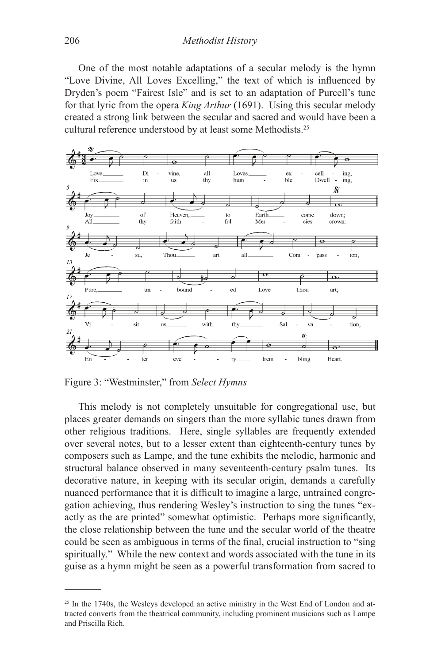One of the most notable adaptations of a secular melody is the hymn "Love Divine, All Loves Excelling," the text of which is influenced by Dryden's poem "Fairest Isle" and is set to an adaptation of Purcell's tune for that lyric from the opera *King Arthur* (1691). Using this secular melody created a strong link between the secular and sacred and would have been a cultural reference understood by at least some Methodists.25



Figure 3: "Westminster," from *Select Hymns*

This melody is not completely unsuitable for congregational use, but places greater demands on singers than the more syllabic tunes drawn from other religious traditions. Here, single syllables are frequently extended over several notes, but to a lesser extent than eighteenth-century tunes by composers such as Lampe, and the tune exhibits the melodic, harmonic and structural balance observed in many seventeenth-century psalm tunes. Its decorative nature, in keeping with its secular origin, demands a carefully nuanced performance that it is difficult to imagine a large, untrained congregation achieving, thus rendering Wesley's instruction to sing the tunes "exactly as the are printed" somewhat optimistic. Perhaps more significantly, the close relationship between the tune and the secular world of the theatre could be seen as ambiguous in terms of the final, crucial instruction to "sing spiritually." While the new context and words associated with the tune in its guise as a hymn might be seen as a powerful transformation from sacred to

<sup>&</sup>lt;sup>25</sup> In the 1740s, the Wesleys developed an active ministry in the West End of London and attracted converts from the theatrical community, including prominent musicians such as Lampe and Priscilla Rich.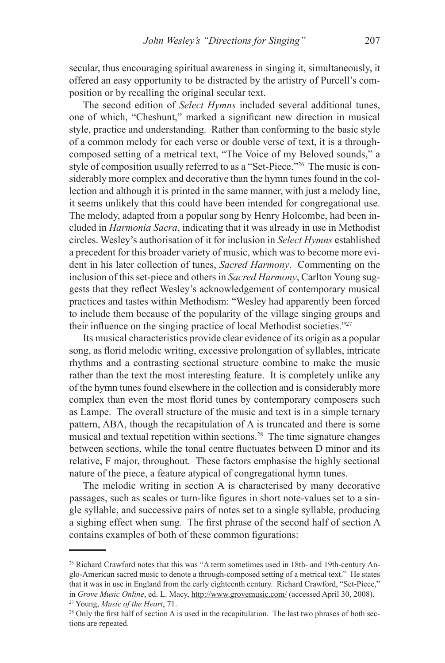secular, thus encouraging spiritual awareness in singing it, simultaneously, it offered an easy opportunity to be distracted by the artistry of Purcell's composition or by recalling the original secular text.

The second edition of *Select Hymns* included several additional tunes, one of which, "Cheshunt," marked a significant new direction in musical style, practice and understanding. Rather than conforming to the basic style of a common melody for each verse or double verse of text, it is a throughcomposed setting of a metrical text, "The Voice of my Beloved sounds," a style of composition usually referred to as a "Set-Piece."26 The music is considerably more complex and decorative than the hymn tunes found in the collection and although it is printed in the same manner, with just a melody line, it seems unlikely that this could have been intended for congregational use. The melody, adapted from a popular song by Henry Holcombe, had been included in *Harmonia Sacra*, indicating that it was already in use in Methodist circles. Wesley's authorisation of it for inclusion in *Select Hymns* established a precedent for this broader variety of music, which was to become more evident in his later collection of tunes, *Sacred Harmony*. Commenting on the inclusion of this set-piece and others in *Sacred Harmony*, Carlton Young suggests that they reflect Wesley's acknowledgement of contemporary musical practices and tastes within Methodism: "Wesley had apparently been forced to include them because of the popularity of the village singing groups and their influence on the singing practice of local Methodist societies."27

Its musical characteristics provide clear evidence of its origin as a popular song, as florid melodic writing, excessive prolongation of syllables, intricate rhythms and a contrasting sectional structure combine to make the music rather than the text the most interesting feature. It is completely unlike any of the hymn tunes found elsewhere in the collection and is considerably more complex than even the most florid tunes by contemporary composers such as Lampe. The overall structure of the music and text is in a simple ternary pattern, ABA, though the recapitulation of A is truncated and there is some musical and textual repetition within sections.28 The time signature changes between sections, while the tonal centre fluctuates between D minor and its relative, F major, throughout. These factors emphasise the highly sectional nature of the piece, a feature atypical of congregational hymn tunes.

The melodic writing in section A is characterised by many decorative passages, such as scales or turn-like figures in short note-values set to a single syllable, and successive pairs of notes set to a single syllable, producing a sighing effect when sung. The first phrase of the second half of section A contains examples of both of these common figurations:

<sup>26</sup> Richard Crawford notes that this was "A term sometimes used in 18th- and 19th-century Anglo-American sacred music to denote a through-composed setting of a metrical text." He states that it was in use in England from the early eighteenth century. Richard Crawford, "Set-Piece," in *Grove Music Online*, ed. L. Macy, http://www.grovemusic.com/ (accessed April 30, 2008).

<sup>27</sup> Young, *Music of the Heart*, 71.

<sup>&</sup>lt;sup>28</sup> Only the first half of section A is used in the recapitulation. The last two phrases of both sections are repeated.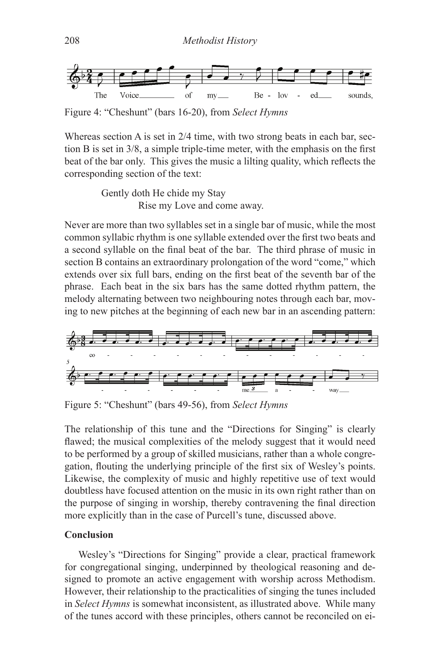

Figure 4: "Cheshunt" (bars 16-20), from *Select Hymns*

Whereas section A is set in 2/4 time, with two strong beats in each bar, section B is set in 3/8, a simple triple-time meter, with the emphasis on the first beat of the bar only. This gives the music a lilting quality, which reflects the corresponding section of the text:

> Gently doth He chide my Stay Rise my Love and come away.

Never are more than two syllables set in a single bar of music, while the most common syllabic rhythm is one syllable extended over the first two beats and a second syllable on the final beat of the bar. The third phrase of music in section B contains an extraordinary prolongation of the word "come," which extends over six full bars, ending on the first beat of the seventh bar of the phrase. Each beat in the six bars has the same dotted rhythm pattern, the melody alternating between two neighbouring notes through each bar, moving to new pitches at the beginning of each new bar in an ascending pattern:



Figure 5: "Cheshunt" (bars 49-56), from *Select Hymns*

The relationship of this tune and the "Directions for Singing" is clearly flawed; the musical complexities of the melody suggest that it would need to be performed by a group of skilled musicians, rather than a whole congregation, flouting the underlying principle of the first six of Wesley's points. Likewise, the complexity of music and highly repetitive use of text would doubtless have focused attention on the music in its own right rather than on the purpose of singing in worship, thereby contravening the final direction more explicitly than in the case of Purcell's tune, discussed above.

#### **Conclusion**

Wesley's "Directions for Singing" provide a clear, practical framework for congregational singing, underpinned by theological reasoning and designed to promote an active engagement with worship across Methodism. However, their relationship to the practicalities of singing the tunes included in *Select Hymns* is somewhat inconsistent, as illustrated above. While many of the tunes accord with these principles, others cannot be reconciled on ei